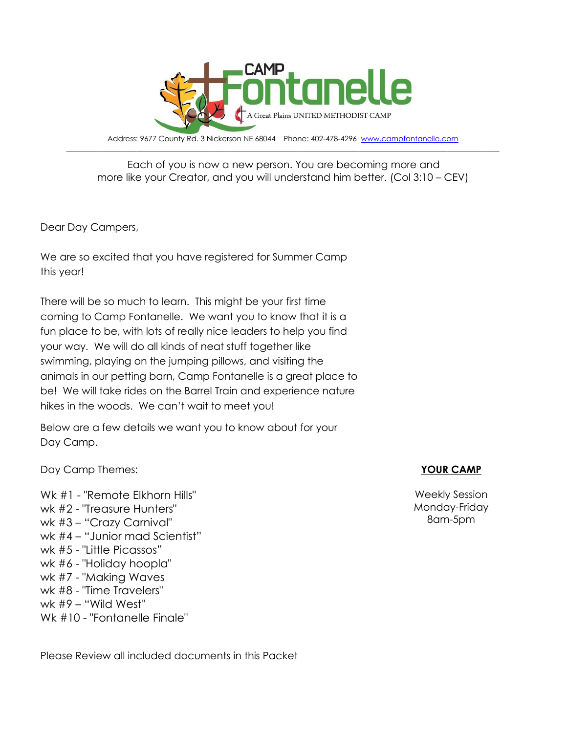

Address: 9677 County Rd. 3 Nickerson NE 68044 Phone: 402-478-4296 [www.campfontanelle.com](http://www.campfontanelle.com/)  $\_$  , and the set of the set of the set of the set of the set of the set of the set of the set of the set of the set of the set of the set of the set of the set of the set of the set of the set of the set of the set of th

#### Each of you is now a new person. You are becoming more and more like your Creator, and you will understand him better. (Col 3:10 – CEV)

Dear Day Campers,

We are so excited that you have registered for Summer Camp this year!

There will be so much to learn. This might be your first time coming to Camp Fontanelle. We want you to know that it is a fun place to be, with lots of really nice leaders to help you find your way. We will do all kinds of neat stuff together like swimming, playing on the jumping pillows, and visiting the animals in our petting barn, Camp Fontanelle is a great place to be! We will take rides on the Barrel Train and experience nature hikes in the woods. We can't wait to meet you!

Below are a few details we want you to know about for your Day Camp.

Day Camp Themes:

Wk #1 - "Remote Elkhorn Hills" wk #2 - "Treasure Hunters" wk #3 – "Crazy Carnival" wk #4 – "Junior mad Scientist" wk #5 - "Little Picassos" wk #6 - "Holiday hoopla" wk #7 - "Making Waves wk #8 - "Time Travelers" wk #9 – "Wild West" Wk #10 - "Fontanelle Finale"

Please Review all included documents in this Packet

### **YOUR CAMP**

Weekly Session Monday-Friday 8am-5pm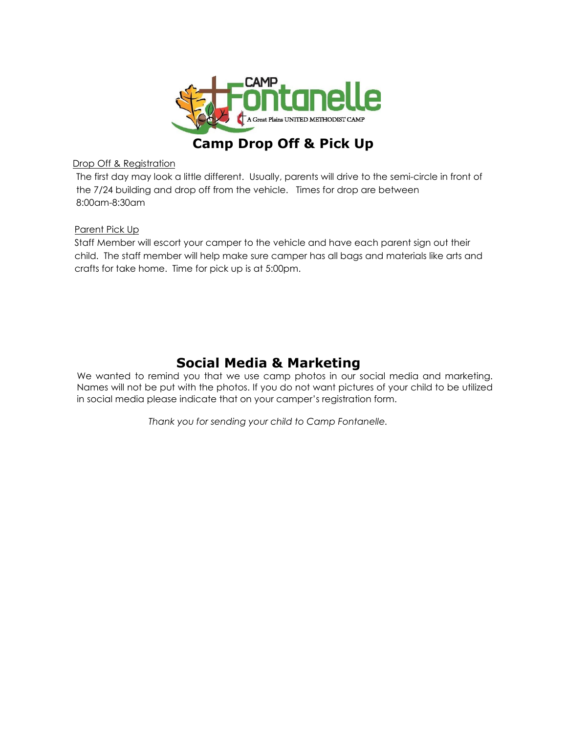

## **Camp Drop Off & Pick Up**

#### Drop Off & Registration

The first day may look a little different. Usually, parents will drive to the semi-circle in front of the 7/24 building and drop off from the vehicle. Times for drop are between 8:00am-8:30am

#### Parent Pick Up

Staff Member will escort your camper to the vehicle and have each parent sign out their child. The staff member will help make sure camper has all bags and materials like arts and crafts for take home. Time for pick up is at 5:00pm.

## **Social Media & Marketing**

We wanted to remind you that we use camp photos in our social media and marketing. Names will not be put with the photos. If you do not want pictures of your child to be utilized in social media please indicate that on your camper's registration form.

*Thank you for sending your child to Camp Fontanelle.*